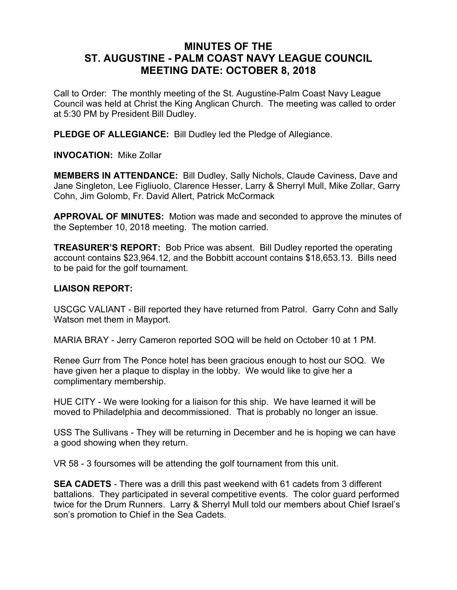## **MINUTES OF THE ST. AUGUSTINE - PALM COAST NAVY LEAGUE COUNCIL MEETING DATE: OCTOBER 8, 2018**

Call to Order: The monthly meeting of the St. Augustine-Palm Coast Navy League Council was held at Christ the King Anglican Church. The meeting was called to order at 5:30 PM by President Bill Dudley.

**PLEDGE OF ALLEGIANCE:** Bill Dudley led the Pledge of Allegiance.

**INVOCATION:** Mike Zollar

**MEMBERS IN ATTENDANCE:** Bill Dudley, Sally Nichols, Claude Caviness, Dave and Jane Singleton, Lee Figliuolo, Clarence Hesser, Larry & Sherryl Mull, Mike Zollar, Garry Cohn, Jim Golomb, Fr. David Allert, Patrick McCormack

**APPROVAL OF MINUTES:** Motion was made and seconded to approve the minutes of the September 10, 2018 meeting. The motion carried.

**TREASURER'S REPORT:** Bob Price was absent. Bill Dudley reported the operating account contains \$23,964.12, and the Bobbitt account contains \$18,653.13. Bills need to be paid for the golf tournament.

## **LIAISON REPORT:**

USCGC VALIANT - Bill reported they have returned from Patrol. Garry Cohn and Sally Watson met them in Mayport.

MARIA BRAY - Jerry Cameron reported SOQ will be held on October 10 at 1 PM.

Renee Gurr from The Ponce hotel has been gracious enough to host our SOQ. We have given her a plaque to display in the lobby. We would like to give her a complimentary membership.

HUE CITY - We were looking for a liaison for this ship. We have learned it will be moved to Philadelphia and decommissioned. That is probably no longer an issue.

USS The Sullivans - They will be returning in December and he is hoping we can have a good showing when they return.

VR 58 - 3 foursomes will be attending the golf tournament from this unit.

**SEA CADETS** - There was a drill this past weekend with 61 cadets from 3 different battalions. They participated in several competitive events. The color guard performed twice for the Drum Runners. Larry & Sherryl Mull told our members about Chief Israel's son's promotion to Chief in the Sea Cadets.